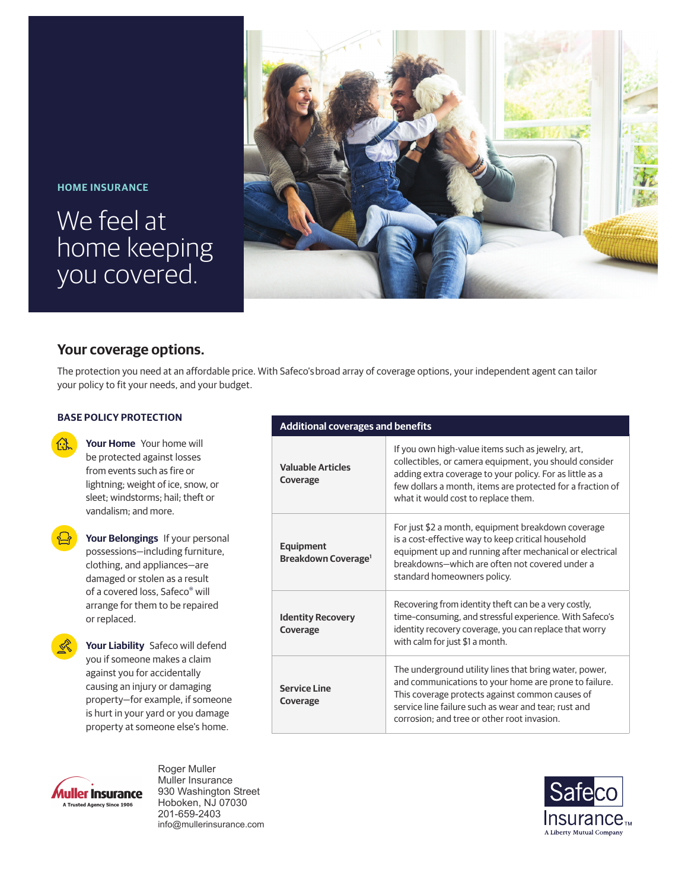## **HOME INSURANCE**

# We feel at home keeping you covered.



# **Your coverage options.**

The protection you need at an affordable price. With Safeco's broad array of coverage options, your independent agent can tailor your policy to fit your needs, and your budget.

## **BASE POLICY PROTECTION**

**Your Home** Your home will be protected against losses from events such as fire or lightning; weight of ice, snow, or sleet; windstorms; hail; theft or vandalism; and more.



**Your Belongings** If your personal possessions—including furniture, clothing, and appliances—are damaged or stolen as a result of a covered loss, Safeco® will arrange for them to be repaired or replaced.

**Your Liability** Safeco will defend you if someone makes a claim against you for accidentally causing an injury or damaging property—for example, if someone is hurt in your yard or you damage property at someone else's home.

## **Additional coverages and benefits**

| <b>Valuable Articles</b><br>Coverage                | If you own high-value items such as jewelry, art,<br>collectibles, or camera equipment, you should consider<br>adding extra coverage to your policy. For as little as a<br>few dollars a month, items are protected for a fraction of<br>what it would cost to replace them. |
|-----------------------------------------------------|------------------------------------------------------------------------------------------------------------------------------------------------------------------------------------------------------------------------------------------------------------------------------|
| <b>Equipment</b><br>Breakdown Coverage <sup>1</sup> | For just \$2 a month, equipment breakdown coverage<br>is a cost-effective way to keep critical household<br>equipment up and running after mechanical or electrical<br>breakdowns-which are often not covered under a<br>standard homeowners policy.                         |
| <b>Identity Recovery</b><br>Coverage                | Recovering from identity theft can be a very costly,<br>time-consuming, and stressful experience. With Safeco's<br>identity recovery coverage, you can replace that worry<br>with calm for just \$1 a month.                                                                 |
| Service Line<br>Coverage                            | The underground utility lines that bring water, power,<br>and communications to your home are prone to failure.<br>This coverage protects against common causes of<br>service line failure such as wear and tear; rust and<br>corrosion: and tree or other root invasion.    |



Roger Muller Muller Insurance 930 Washington Street Hoboken, NJ 07030 201-659-2403 info@mullerinsurance.com